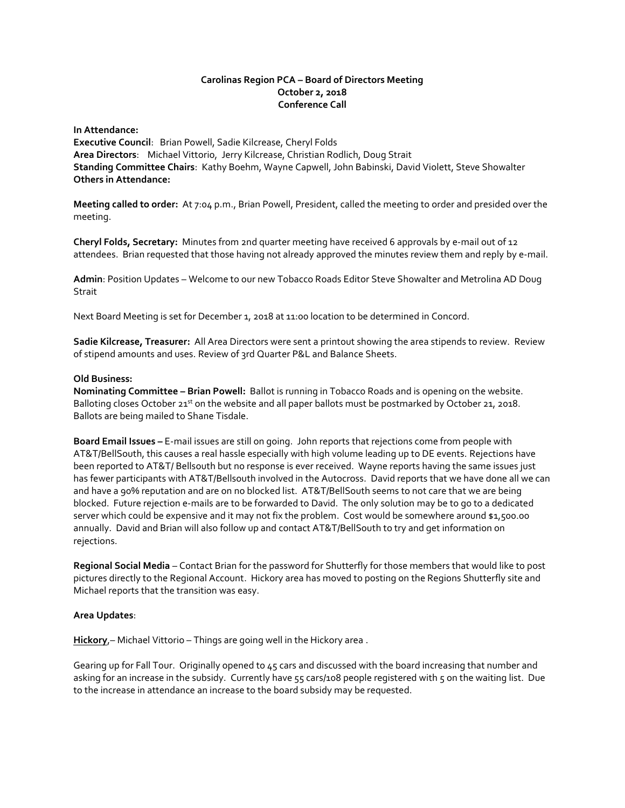## **Carolinas Region PCA – Board of Directors Meeting October 2, 2018 Conference Call**

**In Attendance: Executive Council**: Brian Powell, Sadie Kilcrease, Cheryl Folds **Area Directors**: Michael Vittorio, Jerry Kilcrease, Christian Rodlich, Doug Strait **Standing Committee Chairs**: Kathy Boehm, Wayne Capwell, John Babinski, David Violett, Steve Showalter **Others in Attendance:**

**Meeting called to order:** At 7:04 p.m., Brian Powell, President, called the meeting to order and presided over the meeting.

**Cheryl Folds, Secretary:** Minutes from 2nd quarter meeting have received 6 approvals by e-mail out of 12 attendees. Brian requested that those having not already approved the minutes review them and reply by e-mail.

**Admin**: Position Updates – Welcome to our new Tobacco Roads Editor Steve Showalter and Metrolina AD Doug Strait

Next Board Meeting is set for December 1, 2018 at 11:00 location to be determined in Concord.

**Sadie Kilcrease, Treasurer:** All Area Directors were sent a printout showing the area stipends to review. Review of stipend amounts and uses. Review of 3rd Quarter P&L and Balance Sheets.

#### **Old Business:**

**Nominating Committee – Brian Powell:** Ballot is running in Tobacco Roads and is opening on the website. Balloting closes October 21<sup>st</sup> on the website and all paper ballots must be postmarked by October 21, 2018. Ballots are being mailed to Shane Tisdale.

**Board Email Issues –** E-mail issues are still on going. John reports that rejections come from people with AT&T/BellSouth, this causes a real hassle especially with high volume leading up to DE events. Rejections have been reported to AT&T/ Bellsouth but no response is ever received. Wayne reports having the same issues just has fewer participants with AT&T/Bellsouth involved in the Autocross. David reports that we have done all we can and have a 90% reputation and are on no blocked list. AT&T/BellSouth seems to not care that we are being blocked. Future rejection e-mails are to be forwarded to David. The only solution may be to go to a dedicated server which could be expensive and it may not fix the problem. Cost would be somewhere around \$1,500.00 annually. David and Brian will also follow up and contact AT&T/BellSouth to try and get information on rejections.

**Regional Social Media** – Contact Brian for the password for Shutterfly for those members that would like to post pictures directly to the Regional Account. Hickory area has moved to posting on the Regions Shutterfly site and Michael reports that the transition was easy.

## **Area Updates**:

**Hickory**,– Michael Vittorio – Things are going well in the Hickory area .

Gearing up for Fall Tour. Originally opened to 45 cars and discussed with the board increasing that number and asking for an increase in the subsidy. Currently have 55 cars/108 people registered with 5 on the waiting list. Due to the increase in attendance an increase to the board subsidy may be requested.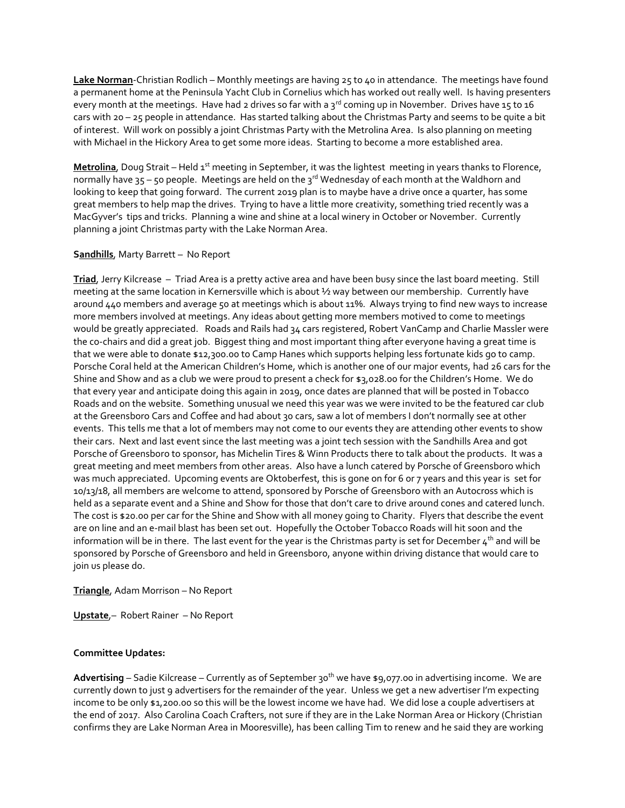**Lake Norman**-Christian Rodlich – Monthly meetings are having 25 to 40 in attendance. The meetings have found a permanent home at the Peninsula Yacht Club in Cornelius which has worked out really well. Is having presenters every month at the meetings. Have had 2 drives so far with a  $3^{rd}$  coming up in November. Drives have 15 to 16 cars with 20 – 25 people in attendance. Has started talking about the Christmas Party and seems to be quite a bit of interest. Will work on possibly a joint Christmas Party with the Metrolina Area. Is also planning on meeting with Michael in the Hickory Area to get some more ideas. Starting to become a more established area.

**Metrolina**, Doug Strait – Held 1<sup>st</sup> meeting in September, it was the lightest meeting in years thanks to Florence, normally have  $35 - 50$  people. Meetings are held on the  $3^{rd}$  Wednesday of each month at the Waldhorn and looking to keep that going forward. The current 2019 plan is to maybe have a drive once a quarter, has some great members to help map the drives. Trying to have a little more creativity, something tried recently was a MacGyver's tips and tricks. Planning a wine and shine at a local winery in October or November. Currently planning a joint Christmas party with the Lake Norman Area.

# **Sandhills**, Marty Barrett – No Report

**Triad**, Jerry Kilcrease – Triad Area is a pretty active area and have been busy since the last board meeting. Still meeting at the same location in Kernersville which is about ½ way between our membership. Currently have around 440 members and average 50 at meetings which is about 11%. Always trying to find new ways to increase more members involved at meetings. Any ideas about getting more members motived to come to meetings would be greatly appreciated. Roads and Rails had 34 cars registered, Robert VanCamp and Charlie Massler were the co-chairs and did a great job. Biggest thing and most important thing after everyone having a great time is that we were able to donate \$12,300.00 to Camp Hanes which supports helping less fortunate kids go to camp. Porsche Coral held at the American Children's Home, which is another one of our major events, had 26 cars for the Shine and Show and as a club we were proud to present a check for \$3,028.00 for the Children's Home. We do that every year and anticipate doing this again in 2019, once dates are planned that will be posted in Tobacco Roads and on the website. Something unusual we need this year was we were invited to be the featured car club at the Greensboro Cars and Coffee and had about 30 cars, saw a lot of members I don't normally see at other events. This tells me that a lot of members may not come to our events they are attending other events to show their cars. Next and last event since the last meeting was a joint tech session with the Sandhills Area and got Porsche of Greensboro to sponsor, has Michelin Tires & Winn Products there to talk about the products. It was a great meeting and meet members from other areas. Also have a lunch catered by Porsche of Greensboro which was much appreciated. Upcoming events are Oktoberfest, this is gone on for 6 or 7 years and this year is set for 10/13/18, all members are welcome to attend, sponsored by Porsche of Greensboro with an Autocross which is held as a separate event and a Shine and Show for those that don't care to drive around cones and catered lunch. The cost is \$20.00 per car for the Shine and Show with all money going to Charity. Flyers that describe the event are on line and an e-mail blast has been set out. Hopefully the October Tobacco Roads will hit soon and the information will be in there. The last event for the year is the Christmas party is set for December  $4<sup>th</sup>$  and will be sponsored by Porsche of Greensboro and held in Greensboro, anyone within driving distance that would care to join us please do.

## **Triangle**, Adam Morrison – No Report

**Upstate**,– Robert Rainer – No Report

## **Committee Updates:**

**Advertising** – Sadie Kilcrease – Currently as of September 30th we have \$9,077.00 in advertising income. We are currently down to just 9 advertisers for the remainder of the year. Unless we get a new advertiser I'm expecting income to be only \$1,200.00 so this will be the lowest income we have had. We did lose a couple advertisers at the end of 2017. Also Carolina Coach Crafters, not sure if they are in the Lake Norman Area or Hickory (Christian confirms they are Lake Norman Area in Mooresville), has been calling Tim to renew and he said they are working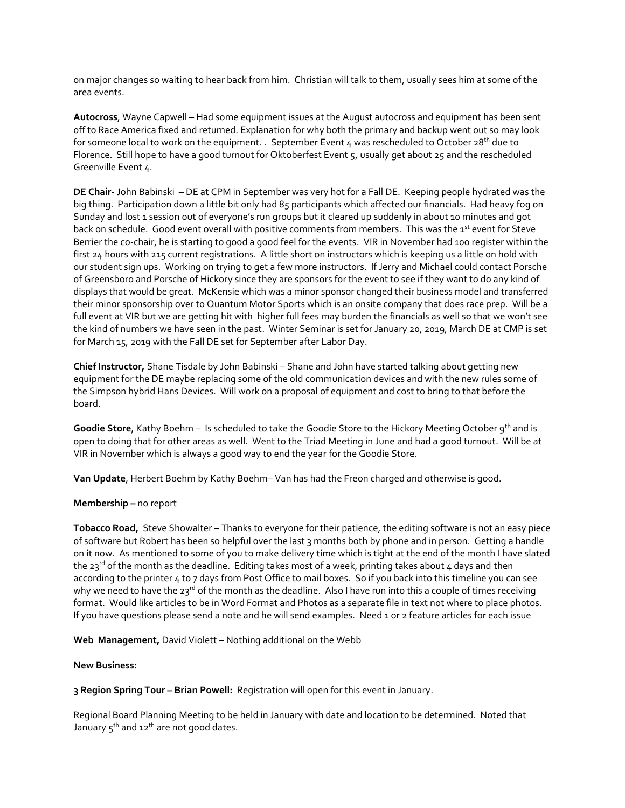on major changes so waiting to hear back from him. Christian will talk to them, usually sees him at some of the area events.

**Autocross**, Wayne Capwell – Had some equipment issues at the August autocross and equipment has been sent off to Race America fixed and returned. Explanation for why both the primary and backup went out so may look for someone local to work on the equipment. . September Event 4 was rescheduled to October 28<sup>th</sup> due to Florence. Still hope to have a good turnout for Oktoberfest Event 5, usually get about 25 and the rescheduled Greenville Event 4.

**DE Chair-** John Babinski – DE at CPM in September was very hot for a Fall DE. Keeping people hydrated was the big thing. Participation down a little bit only had 85 participants which affected our financials. Had heavy fog on Sunday and lost 1 session out of everyone's run groups but it cleared up suddenly in about 10 minutes and got back on schedule. Good event overall with positive comments from members. This was the 1<sup>st</sup> event for Steve Berrier the co-chair, he is starting to good a good feel for the events. VIR in November had 100 register within the first 24 hours with 215 current registrations. A little short on instructors which is keeping us a little on hold with our student sign ups. Working on trying to get a few more instructors. If Jerry and Michael could contact Porsche of Greensboro and Porsche of Hickory since they are sponsors for the event to see if they want to do any kind of displays that would be great. McKensie which was a minor sponsor changed their business model and transferred their minor sponsorship over to Quantum Motor Sports which is an onsite company that does race prep. Will be a full event at VIR but we are getting hit with higher full fees may burden the financials as well so that we won't see the kind of numbers we have seen in the past. Winter Seminar is set for January 20, 2019, March DE at CMP is set for March 15, 2019 with the Fall DE set for September after Labor Day.

**Chief Instructor,** Shane Tisdale by John Babinski – Shane and John have started talking about getting new equipment for the DE maybe replacing some of the old communication devices and with the new rules some of the Simpson hybrid Hans Devices. Will work on a proposal of equipment and cost to bring to that before the board.

**Goodie Store**, Kathy Boehm – Is scheduled to take the Goodie Store to the Hickory Meeting October 9th and is open to doing that for other areas as well. Went to the Triad Meeting in June and had a good turnout. Will be at VIR in November which is always a good way to end the year for the Goodie Store.

**Van Update**, Herbert Boehm by Kathy Boehm– Van has had the Freon charged and otherwise is good.

## **Membership –** no report

**Tobacco Road,** Steve Showalter – Thanks to everyone for their patience, the editing software is not an easy piece of software but Robert has been so helpful over the last 3 months both by phone and in person. Getting a handle on it now. As mentioned to some of you to make delivery time which is tight at the end of the month I have slated the 23<sup>rd</sup> of the month as the deadline. Editing takes most of a week, printing takes about 4 days and then according to the printer 4 to 7 days from Post Office to mail boxes. So if you back into this timeline you can see why we need to have the 23<sup>rd</sup> of the month as the deadline. Also I have run into this a couple of times receiving format. Would like articles to be in Word Format and Photos as a separate file in text not where to place photos. If you have questions please send a note and he will send examples. Need 1 or 2 feature articles for each issue

**Web Management,** David Violett – Nothing additional on the Webb

#### **New Business:**

**3 Region Spring Tour – Brian Powell:** Registration will open for this event in January.

Regional Board Planning Meeting to be held in January with date and location to be determined. Noted that January  $5^{th}$  and  $12^{th}$  are not good dates.